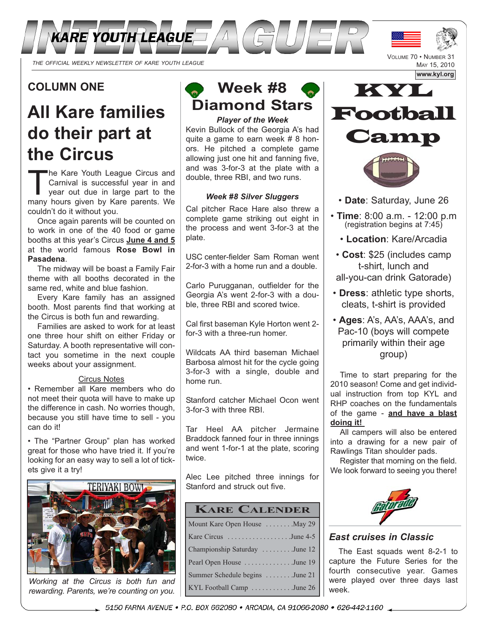

### **COLUMN ONE**

# **All Kare families do their part at the Circus**

The Kare Youth League Circus and<br>Carnival is successful year in and<br>year out due in large part to the<br>many bours given by Kare parents. We Carnival is successful year in and year out due in large part to the many hours given by Kare parents. We couldn't do it without you.

Once again parents will be counted on to work in one of the 40 food or game booths at this year's Circus **June 4 and 5** at the world famous **Rose Bowl in Pasadena**.

The midway will be boast a Family Fair theme with all booths decorated in the same red, white and blue fashion.

Every Kare family has an assigned booth. Most parents find that working at the Circus is both fun and rewarding.

Families are asked to work for at least one three hour shift on either Friday or Saturday. A booth representative will contact you sometime in the next couple weeks about your assignment.

#### Circus Notes

• Remember all Kare members who do not meet their quota will have to make up the difference in cash. No worries though, because you still have time to sell - you can do it!

• The "Partner Group" plan has worked great for those who have tried it. If you're looking for an easy way to sell a lot of tickets give it a try!



*Working at the Circus is both fun and rewarding. Parents, we're counting on you.*

### **Week #8 Diamond Stars**

*Player of the Week* Kevin Bullock of the Georgia A's had quite a game to earn week # 8 honors. He pitched a complete game allowing just one hit and fanning five, and was 3-for-3 at the plate with a double, three RBI, and two runs.

#### *Week #8 Silver Sluggers*

Cal pitcher Race Hare also threw a complete game striking out eight in the process and went 3-for-3 at the plate.

USC center-fielder Sam Roman went 2-for-3 with a home run and a double.

Carlo Purugganan, outfielder for the Georgia A's went 2-for-3 with a double, three RBI and scored twice.

Cal first baseman Kyle Horton went 2 for-3 with a three-run homer.

Wildcats AA third baseman Michael Barbosa almost hit for the cycle going 3-for-3 with a single, double and home run.

Stanford catcher Michael Ocon went 3-for-3 with three RBI.

Tar Heel AA pitcher Jermaine Braddock fanned four in three innings and went 1-for-1 at the plate, scoring twice.

Alec Lee pitched three innings for Stanford and struck out five.

| <b>KARE CALENDER</b>                                 |
|------------------------------------------------------|
| Mount Kare Open House May 29                         |
| Kare Circus $\dots \dots \dots \dots \dots$ June 4-5 |
| Championship Saturday June 12                        |
| Pearl Open House June 19                             |
| Summer Schedule begins June 21                       |
| KYL Football Camp June 26                            |



VOLUME 70 • NUMBER 31

MAY 15, 2010

- **Date**: Saturday, June 26
- **Time**: 8:00 a.m. 12:00 p.m (registration begins at 7:45)
	- **Location**: Kare/Arcadia
- **Cost**: \$25 (includes camp t-shirt, lunch and all-you-can drink Gatorade)
- **Dress**: athletic type shorts, cleats, t-shirt is provided
- **Ages**: A's, AA's, AAA's, and Pac-10 (boys will compete primarily within their age group)

Time to start preparing for the 2010 season! Come and get individual instruction from top KYL and RHP coaches on the fundamentals of the game - **and have a blast doing it!** 

All campers will also be entered into a drawing for a new pair of Rawlings Titan shoulder pads.

Register that morning on the field. We look forward to seeing you there!



#### *East cruises in Classic*

The East squads went 8-2-1 to capture the Future Series for the fourth consecutive year. Games were played over three days last week.

5150 FARNA AVENUE • P.O. BOX 662080 • ARCADIA, CA 91066-2080 • 626-442-1160